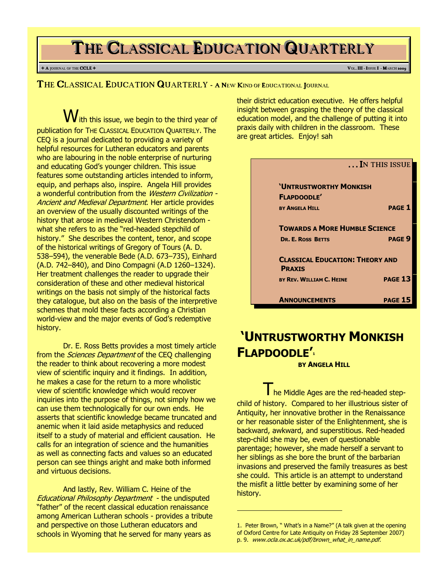# THE CLASSICAL EDUCATION QUARTERLY

### + A JOURNAL OF THE CCLE + VOL. III - ISSUE I - MARCH 2

THE CLASSICAL EDUCATION QUARTERLY - A NEW KIND OF EDUCATIONAL JOURNAL

 $\mathsf W$ ith this issue, we begin to the third year of publication for THE CLASSICAL EDUCATION QUARTERLY. The CEQ is a journal dedicated to providing a variety of helpful resources for Lutheran educators and parents who are labouring in the noble enterprise of nurturing and educating God's younger children. This issue features some outstanding articles intended to inform, equip, and perhaps also, inspire. Angela Hill provides a wonderful contribution from the Western Civilization -Ancient and Medieval Department. Her article provides an overview of the usually discounted writings of the history that arose in medieval Western Christendom what she refers to as the "red-headed stepchild of history." She describes the content, tenor, and scope of the historical writings of Gregory of Tours (A. D. 538–594), the venerable Bede (A.D. 673–735), Einhard (A.D. 742–840), and Dino Compagni (A.D 1260–1324). Her treatment challenges the reader to upgrade their consideration of these and other medieval historical writings on the basis not simply of the historical facts they catalogue, but also on the basis of the interpretive schemes that mold these facts according a Christian world-view and the major events of God's redemptive history.

Dr. E. Ross Betts provides a most timely article from the *Sciences Department* of the CEQ challenging the reader to think about recovering a more modest view of scientific inquiry and it findings. In addition, he makes a case for the return to a more wholistic view of scientific knowledge which would recover inquiries into the purpose of things, not simply how we can use them technologically for our own ends. He asserts that scientific knowledge became truncated and anemic when it laid aside metaphysics and reduced itself to a study of material and efficient causation. He calls for an integration of science and the humanities as well as connecting facts and values so an educated person can see things aright and make both informed and virtuous decisions.

And lastly, Rev. William C. Heine of the Educational Philosophy Department - the undisputed "father" of the recent classical education renaissance among American Lutheran schools - provides a tribute and perspective on those Lutheran educators and schools in Wyoming that he served for many years as

their district education executive. He offers helpful insight between grasping the theory of the classical education model, and the challenge of putting it into praxis daily with children in the classroom. These are great articles. Enjoy! sah

|                                                         | IN THIS ISSUE  |
|---------------------------------------------------------|----------------|
| <b>'UNTRUSTWORTHY MONKISH</b>                           |                |
| FLAPDOODLE'                                             |                |
| <b>BY ANGELA HILL</b>                                   | <b>PAGE 1</b>  |
| <b>TOWARDS A MORE HUMBLE SCIENCE</b>                    |                |
| <b>DR. E. ROSS BETTS</b>                                | <b>PAGE 9</b>  |
| <b>CLASSICAL EDUCATION: THEORY AND</b><br><b>PRAXIS</b> |                |
| BY REV. WILLIAM C. HEINE                                | <b>PAGE 13</b> |
| <b>ANNOUNCEMENTS</b>                                    | <b>PAGE 15</b> |

## 'UNTRUSTWORTHY MONKISH FLAPDOODLE' 1 **BY ANGELA HILL**

 $\blacksquare$  he Middle Ages are the red-headed stepchild of history. Compared to her illustrious sister of Antiquity, her innovative brother in the Renaissance or her reasonable sister of the Enlightenment, she is backward, awkward, and superstitious. Red-headed step-child she may be, even of questionable parentage; however, she made herself a servant to her siblings as she bore the brunt of the barbarian invasions and preserved the family treasures as best she could. This article is an attempt to understand the misfit a little better by examining some of her history.

<sup>1.</sup> Peter Brown, " What's in a Name?" (A talk given at the opening of Oxford Centre for Late Antiquity on Friday 28 September 2007) p. 9. www.ocla.ox.ac.uk/pdf/brown\_what\_in\_name.pdf.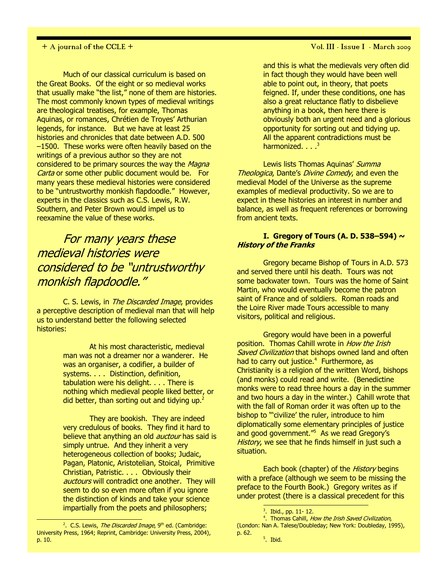Much of our classical curriculum is based on the Great Books. Of the eight or so medieval works that usually make "the list," none of them are histories. The most commonly known types of medieval writings are theological treatises, for example, Thomas Aquinas, or romances, Chrétien de Troyes' Arthurian legends, for instance. But we have at least 25 histories and chronicles that date between A.D. 500 –1500. These works were often heavily based on the writings of a previous author so they are not considered to be primary sources the way the Magna Carta or some other public document would be. For many years these medieval histories were considered to be "untrustworthy monkish flapdoodle." However, experts in the classics such as C.S. Lewis, R.W. Southern, and Peter Brown would impel us to reexamine the value of these works.

## For many years these medieval histories were considered to be "untrustworthy monkish flapdoodle."

C. S. Lewis, in The Discarded Image, provides a perceptive description of medieval man that will help us to understand better the following selected histories:

> At his most characteristic, medieval man was not a dreamer nor a wanderer. He was an organiser, a codifier, a builder of systems. . . . Distinction, definition, tabulation were his delight. . . . There is nothing which medieval people liked better, or did better, than sorting out and tidying up. $<sup>2</sup>$ </sup>

They are bookish. They are indeed very credulous of books. They find it hard to believe that anything an old *auctour* has said is simply untrue. And they inherit a very heterogeneous collection of books; Judaic, Pagan, Platonic, Aristotelian, Stoical, Primitive Christian, Patristic. . . . Obviously their auctours will contradict one another. They will seem to do so even more often if you ignore the distinction of kinds and take your science impartially from the poets and philosophers;

and this is what the medievals very often did in fact though they would have been well able to point out, in theory, that poets feigned. If, under these conditions, one has also a great reluctance flatly to disbelieve anything in a book, then here there is obviously both an urgent need and a glorious opportunity for sorting out and tidying up. All the apparent contradictions must be harmonized.  $\ldots$ <sup>3</sup>

Lewis lists Thomas Aquinas' Summa Theologica, Dante's Divine Comedy, and even the medieval Model of the Universe as the supreme examples of medieval productivity. So we are to expect in these histories an interest in number and balance, as well as frequent references or borrowing from ancient texts.

### I. Gregory of Tours (A. D. 538–594)  $\sim$ History of the Franks

Gregory became Bishop of Tours in A.D. 573 and served there until his death. Tours was not some backwater town. Tours was the home of Saint Martin, who would eventually become the patron saint of France and of soldiers. Roman roads and the Loire River made Tours accessible to many visitors, political and religious.

Gregory would have been in a powerful position. Thomas Cahill wrote in How the Irish Saved Civilization that bishops owned land and often had to carry out justice.<sup>4</sup> Furthermore, as Christianity is a religion of the written Word, bishops (and monks) could read and write. (Benedictine monks were to read three hours a day in the summer and two hours a day in the winter.) Cahill wrote that with the fall of Roman order it was often up to the bishop to "'civilize' the ruler, introduce to him diplomatically some elementary principles of justice and good government."<sup>5</sup> As we read Gregory's History, we see that he finds himself in just such a situation.

Each book (chapter) of the *History* begins with a preface (although we seem to be missing the preface to the Fourth Book.) Gregory writes as if under protest (there is a classical precedent for this

+ A journal of the CCLE + Vol. III - Issue I - March 2009

<sup>&</sup>lt;sup>2</sup>. C.S. Lewis, *The Discarded Image*, 9<sup>th</sup> ed. (Cambridge: University Press, 1964; Reprint, Cambridge: University Press, 2004), p. 10.

<sup>&</sup>lt;sup>3</sup>. Ibid., pp. 11- 12.

<sup>&</sup>lt;sup>4</sup>. Thomas Cahill, *How the Irish Saved Civilization,* (London: Nan A. Talese/Doubleday; New York: Doubleday, 1995), p. 62.

<sup>5</sup> . Ibid.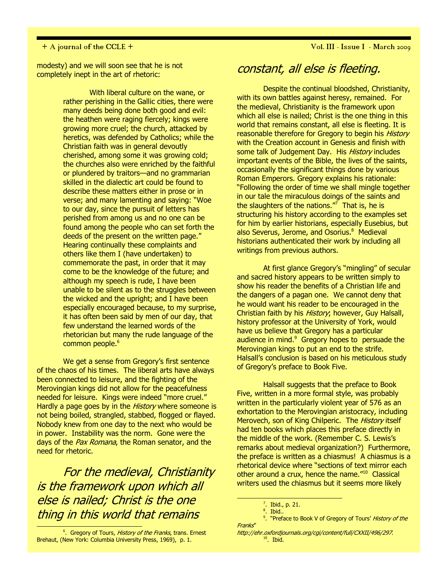modesty) and we will soon see that he is not completely inept in the art of rhetoric:

> With liberal culture on the wane, or rather perishing in the Gallic cities, there were many deeds being done both good and evil: the heathen were raging fiercely; kings were growing more cruel; the church, attacked by heretics, was defended by Catholics; while the Christian faith was in general devoutly cherished, among some it was growing cold; the churches also were enriched by the faithful or plundered by traitors—and no grammarian skilled in the dialectic art could be found to describe these matters either in prose or in verse; and many lamenting and saying: "Woe to our day, since the pursuit of letters has perished from among us and no one can be found among the people who can set forth the deeds of the present on the written page." Hearing continually these complaints and others like them I (have undertaken) to commemorate the past, in order that it may come to be the knowledge of the future; and although my speech is rude, I have been unable to be silent as to the struggles between the wicked and the upright; and I have been especially encouraged because, to my surprise, it has often been said by men of our day, that few understand the learned words of the rhetorician but many the rude language of the common people.<sup>6</sup>

We get a sense from Gregory's first sentence of the chaos of his times. The liberal arts have always been connected to leisure, and the fighting of the Merovingian kings did not allow for the peacefulness needed for leisure. Kings were indeed "more cruel." Hardly a page goes by in the *History* where someone is not being boiled, strangled, stabbed, flogged or flayed. Nobody knew from one day to the next who would be in power. Instability was the norm. Gone were the days of the Pax Romana, the Roman senator, and the need for rhetoric.

For the medieval, Christianity is the framework upon which all else is nailed; Christ is the one thing in this world that remains

## constant, all else is fleeting.

Despite the continual bloodshed, Christianity, with its own battles against heresy, remained. For the medieval, Christianity is the framework upon which all else is nailed; Christ is the one thing in this world that remains constant, all else is fleeting. It is reasonable therefore for Gregory to begin his *History* with the Creation account in Genesis and finish with some talk of Judgement Day. His History includes important events of the Bible, the lives of the saints, occasionally the significant things done by various Roman Emperors. Gregory explains his rationale: "Following the order of time we shall mingle together in our tale the miraculous doings of the saints and the slaughters of the nations."<sup>7</sup> That is, he is structuring his history according to the examples set for him by earlier historians, especially Eusebius, but also Severus, Jerome, and Osorius.<sup>8</sup> Medieval historians authenticated their work by including all writings from previous authors.

At first glance Gregory's "mingling" of secular and sacred history appears to be written simply to show his reader the benefits of a Christian life and the dangers of a pagan one. We cannot deny that he would want his reader to be encouraged in the Christian faith by his History; however, Guy Halsall, history professor at the University of York, would have us believe that Gregory has a particular audience in mind.<sup>9</sup> Gregory hopes to persuade the Merovingian kings to put an end to the strife. Halsall's conclusion is based on his meticulous study of Gregory's preface to Book Five.

Halsall suggests that the preface to Book Five, written in a more formal style, was probably written in the particularly violent year of 576 as an exhortation to the Merovingian aristocracy, including Merovech, son of King Chilperic. The History itself had ten books which places this preface directly in the middle of the work. (Remember C. S. Lewis's remarks about medieval organization?) Furthermore, the preface is written as a chiasmus! A chiasmus is a rhetorical device where "sections of text mirror each other around a crux, hence the name."<sup>10</sup> Classical writers used the chiasmus but it seems more likely

<sup>&</sup>lt;sup>6</sup>. Gregory of Tours, *History of the Franks*, trans. Ernest Brehaut, (New York: Columbia University Press, 1969), p. 1.

 $7.$  Ibid., p. 21.

<sup>8</sup> . Ibid..

<sup>9</sup> "Preface to Book V of Gregory of Tours' History of the Franks"

http://ehr.oxfordjournals.org/cgi/content/full/CXXII/496/297.  $10$ . Ibid.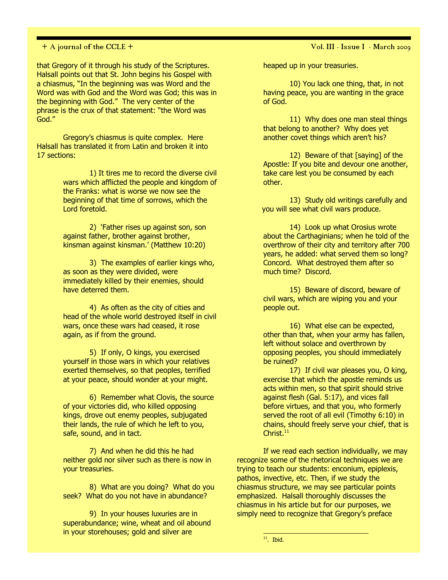that Gregory of it through his study of the Scriptures. Halsall points out that St. John begins his Gospel with a chiasmus, "In the beginning was was Word and the Word was with God and the Word was God; this was in the beginning with God." The very center of the phrase is the crux of that statement: "the Word was God."

Gregory's chiasmus is quite complex. Here Halsall has translated it from Latin and broken it into 17 sections:

> 1) It tires me to record the diverse civil wars which afflicted the people and kingdom of the Franks: what is worse we now see the beginning of that time of sorrows, which the Lord foretold.

2) 'Father rises up against son, son against father, brother against brother, kinsman against kinsman.' (Matthew 10:20)

3) The examples of earlier kings who, as soon as they were divided, were immediately killed by their enemies, should have deterred them.

4) As often as the city of cities and head of the whole world destroyed itself in civil wars, once these wars had ceased, it rose again, as if from the ground.

5) If only, O kings, you exercised yourself in those wars in which your relatives exerted themselves, so that peoples, terrified at your peace, should wonder at your might.

6) Remember what Clovis, the source of your victories did, who killed opposing kings, drove out enemy peoples, subjugated their lands, the rule of which he left to you, safe, sound, and in tact.

7) And when he did this he had neither gold nor silver such as there is now in your treasuries.

8) What are you doing? What do you seek? What do you not have in abundance?

9) In your houses luxuries are in superabundance; wine, wheat and oil abound in your storehouses; gold and silver are

heaped up in your treasuries.

10) You lack one thing, that, in not having peace, you are wanting in the grace of God.

11) Why does one man steal things that belong to another? Why does yet another covet things which aren't his?

12) Beware of that [saying] of the Apostle: If you bite and devour one another, take care lest you be consumed by each other.

13) Study old writings carefully and you will see what civil wars produce.

14) Look up what Orosius wrote about the Carthaginians; when he told of the overthrow of their city and territory after 700 years, he added: what served them so long? Concord. What destroyed them after so much time? Discord.

15) Beware of discord, beware of civil wars, which are wiping you and your people out.

16) What else can be expected, other than that, when your army has fallen, left without solace and overthrown by opposing peoples, you should immediately be ruined?

17) If civil war pleases you, O king, exercise that which the apostle reminds us acts within men, so that spirit should strive against flesh (Gal. 5:17), and vices fall before virtues, and that you, who formerly served the root of all evil (Timothy 6:10) in chains, should freely serve your chief, that is  $Christ.<sup>11</sup>$ 

If we read each section individually, we may recognize some of the rhetorical techniques we are trying to teach our students: enconium, epiplexis, pathos, invective, etc. Then, if we study the chiasmus structure, we may see particular points emphasized. Halsall thoroughly discusses the chiasmus in his article but for our purposes, we simply need to recognize that Gregory's preface

 $11$  Ibid.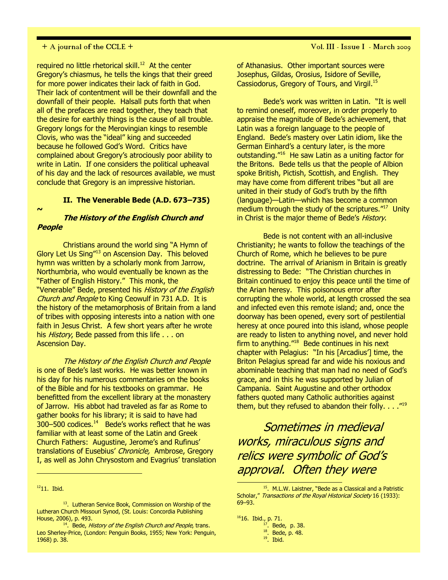required no little rhetorical skill. $12$  At the center Gregory's chiasmus, he tells the kings that their greed for more power indicates their lack of faith in God. Their lack of contentment will be their downfall and the downfall of their people. Halsall puts forth that when all of the prefaces are read together, they teach that the desire for earthly things is the cause of all trouble. Gregory longs for the Merovingian kings to resemble Clovis, who was the "ideal" king and succeeded because he followed God's Word. Critics have complained about Gregory's atrociously poor ability to write in Latin. If one considers the political upheaval of his day and the lack of resources available, we must conclude that Gregory is an impressive historian.

### II. The Venerable Bede (A.D. 673–735)

### The History of the English Church and **People**

Christians around the world sing "A Hymn of Glory Let Us Sing"<sup>13</sup> on Ascension Day. This beloved hymn was written by a scholarly monk from Jarrow, Northumbria, who would eventually be known as the "Father of English History." This monk, the "Venerable" Bede, presented his History of the English Church and People to King Ceowulf in 731 A.D. It is the history of the metamorphosis of Britain from a land of tribes with opposing interests into a nation with one faith in Jesus Christ. A few short years after he wrote his *History*, Bede passed from this life . . . on Ascension Day.

The History of the English Church and People is one of Bede's last works. He was better known in his day for his numerous commentaries on the books of the Bible and for his textbooks on grammar. He benefitted from the excellent library at the monastery of Jarrow. His abbot had traveled as far as Rome to gather books for his library; it is said to have had 300–500 codices. $14$  Bede's works reflect that he was familiar with at least some of the Latin and Greek Church Fathers: Augustine, Jerome's and Rufinus' translations of Eusebius' Chronicle, Ambrose, Gregory I, as well as John Chrysostom and Evagrius' translation

 $1211.$  Ibid.

 $\sim$ 

of Athanasius. Other important sources were Josephus, Gildas, Orosius, Isidore of Seville, Cassiodorus, Gregory of Tours, and Virgil.<sup>15</sup>

Bede's work was written in Latin. "It is well to remind oneself, moreover, in order properly to appraise the magnitude of Bede's achievement, that Latin was a foreign language to the people of England. Bede's mastery over Latin idiom, like the German Einhard's a century later, is the more outstanding."<sup>16</sup> He saw Latin as a uniting factor for the Britons. Bede tells us that the people of Albion spoke British, Pictish, Scottish, and English. They may have come from different tribes "but all are united in their study of God's truth by the fifth (language)—Latin—which has become a common medium through the study of the scriptures. $17$  Unity in Christ is the major theme of Bede's History.

Bede is not content with an all-inclusive Christianity; he wants to follow the teachings of the Church of Rome, which he believes to be pure doctrine. The arrival of Arianism in Britain is greatly distressing to Bede: "The Christian churches in Britain continued to enjoy this peace until the time of the Arian heresy. This poisonous error after corrupting the whole world, at length crossed the sea and infected even this remote island; and, once the doorway has been opened, every sort of pestilential heresy at once poured into this island, whose people are ready to listen to anything novel, and never hold firm to anything."<sup>18</sup> Bede continues in his next chapter with Pelagius: "In his [Arcadius'] time, the Briton Pelagius spread far and wide his noxious and abominable teaching that man had no need of God's grace, and in this he was supported by Julian of Campania. Saint Augustine and other orthodox fathers quoted many Catholic authorities against them, but they refused to abandon their folly.  $\ldots$ <sup>"19</sup>

Sometimes in medieval works, miraculous signs and relics were symbolic of God's approval. Often they were

<sup>16</sup>16. Ibid., p. 71. . Bede, p. 38. <sup>18</sup>. Bede, p. 48. <sup>19</sup>. Ibid.

<sup>&</sup>lt;sup>13</sup>. Lutheran Service Book, Commission on Worship of the Lutheran Church Missouri Synod, (St. Louis: Concordia Publishing House, 2006), p. 493.

<sup>.</sup> Bede, History of the English Church and People, trans. Leo Sherley-Price, (London: Penguin Books, 1955; New York: Penguin, 1968) p. 38.

<sup>&</sup>lt;sup>15</sup>. M.L.W. Laistner, "Bede as a Classical and a Patristic Scholar," Transactions of the Royal Historical Society 16 (1933): 69–93.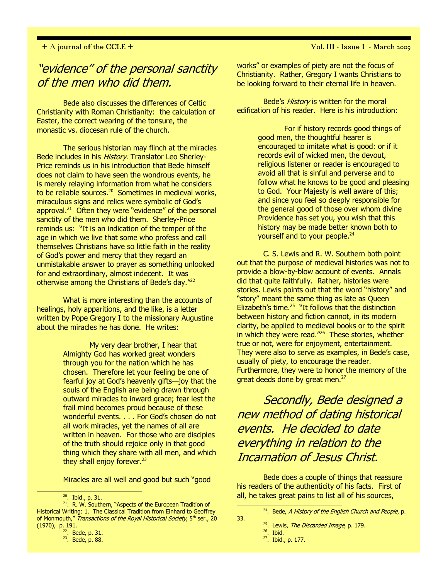## "evidence" of the personal sanctity of the men who did them.

Bede also discusses the differences of Celtic Christianity with Roman Christianity: the calculation of Easter, the correct wearing of the tonsure, the monastic vs. diocesan rule of the church.

The serious historian may flinch at the miracles Bede includes in his History. Translator Leo Sherley-Price reminds us in his introduction that Bede himself does not claim to have seen the wondrous events, he is merely relaying information from what he considers to be reliable sources. $20$  Sometimes in medieval works, miraculous signs and relics were symbolic of God's approval. $^{21}$  Often they were "evidence" of the personal sanctity of the men who did them. Sherley-Price reminds us: "It is an indication of the temper of the age in which we live that some who profess and call themselves Christians have so little faith in the reality of God's power and mercy that they regard an unmistakable answer to prayer as something unlooked for and extraordinary, almost indecent. It was otherwise among the Christians of Bede's day."<sup>22</sup>

What is more interesting than the accounts of healings, holy apparitions, and the like, is a letter written by Pope Gregory I to the missionary Augustine about the miracles he has done. He writes:

> My very dear brother, I hear that Almighty God has worked great wonders through you for the nation which he has chosen. Therefore let your feeling be one of fearful joy at God's heavenly gifts—joy that the souls of the English are being drawn through outward miracles to inward grace; fear lest the frail mind becomes proud because of these wonderful events. . . . For God's chosen do not all work miracles, yet the names of all are written in heaven. For those who are disciples of the truth should rejoice only in that good thing which they share with all men, and which they shall enjoy forever. $^{23}$

Miracles are all well and good but such "good

works" or examples of piety are not the focus of Christianity. Rather, Gregory I wants Christians to be looking forward to their eternal life in heaven.

Bede's History is written for the moral edification of his reader. Here is his introduction:

> For if history records good things of good men, the thoughtful hearer is encouraged to imitate what is good: or if it records evil of wicked men, the devout, religious listener or reader is encouraged to avoid all that is sinful and perverse and to follow what he knows to be good and pleasing to God. Your Majesty is well aware of this; and since you feel so deeply responsible for the general good of those over whom divine Providence has set you, you wish that this history may be made better known both to yourself and to your people. $24$

C. S. Lewis and R. W. Southern both point out that the purpose of medieval histories was not to provide a blow-by-blow account of events. Annals did that quite faithfully. Rather, histories were stories. Lewis points out that the word "history" and "story" meant the same thing as late as Queen Elizabeth's time. $25$  "It follows that the distinction between history and fiction cannot, in its modern clarity, be applied to medieval books or to the spirit in which they were read."<sup>26</sup> These stories, whether true or not, were for enjoyment, entertainment. They were also to serve as examples, in Bede's case, usually of piety, to encourage the reader. Furthermore, they were to honor the memory of the great deeds done by great men. $^{27}$ 

Secondly, Bede designed a new method of dating historical events. He decided to date everything in relation to the Incarnation of Jesus Christ.

Bede does a couple of things that reassure his readers of the authenticity of his facts. First of  $20$ . Ibid., p. 31. **Example 20** all, he takes great pains to list all of his sources,

33.

<sup>&</sup>lt;sup>21</sup>. R. W. Southern, "Aspects of the European Tradition of Historical Writing: 1. The Classical Tradition from Einhard to Geoffrey of Monmouth," Transactions of the Royal Historical Society, 5<sup>th</sup> ser., 20 (1970), p. 191.

 $22$ . Bede, p. 31.

<sup>23</sup>. Bede, p. 88.

 $24$ . Bede, A History of the English Church and People, p.

 $25.$  Lewis, The Discarded Image, p. 179.

<sup>26</sup>. Ibid.

<sup>27</sup>. Ibid., p. 177.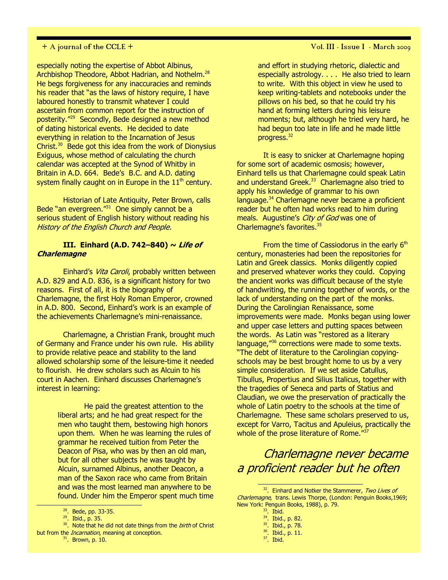especially noting the expertise of Abbot Albinus, Archbishop Theodore, Abbot Hadrian, and Nothelm.<sup>28</sup> He begs forgiveness for any inaccuracies and reminds his reader that "as the laws of history require, I have laboured honestly to transmit whatever I could ascertain from common report for the instruction of posterity."<sup>29</sup> Secondly, Bede designed a new method of dating historical events. He decided to date everything in relation to the Incarnation of Jesus Christ. $30$  Bede got this idea from the work of Dionysius Exiguus, whose method of calculating the church calendar was accepted at the Synod of Whitby in Britain in A.D. 664. Bede's B.C. and A.D. dating system finally caught on in Europe in the  $11<sup>th</sup>$  century.

Historian of Late Antiquity, Peter Brown, calls Bede "an evergreen."<sup>31</sup> One simply cannot be a serious student of English history without reading his History of the English Church and People.

### III. Einhard (A.D. 742–840)  $\sim$  Life of **Charlemagne**

Einhard's *Vita Caroli*, probably written between A.D. 829 and A.D. 836, is a significant history for two reasons. First of all, it is the biography of Charlemagne, the first Holy Roman Emperor, crowned in A.D. 800. Second, Einhard's work is an example of the achievements Charlemagne's mini-renaissance.

Charlemagne, a Christian Frank, brought much of Germany and France under his own rule. His ability to provide relative peace and stability to the land allowed scholarship some of the leisure-time it needed to flourish. He drew scholars such as Alcuin to his court in Aachen. Einhard discusses Charlemagne's interest in learning:

> He paid the greatest attention to the liberal arts; and he had great respect for the men who taught them, bestowing high honors upon them. When he was learning the rules of grammar he received tuition from Peter the Deacon of Pisa, who was by then an old man, but for all other subjects he was taught by Alcuin, surnamed Albinus, another Deacon, a man of the Saxon race who came from Britain and was the most learned man anywhere to be found. Under him the Emperor spent much time

and effort in studying rhetoric, dialectic and especially astrology. . . . He also tried to learn to write. With this object in view he used to keep writing-tablets and notebooks under the pillows on his bed, so that he could try his hand at forming letters during his leisure moments; but, although he tried very hard, he had begun too late in life and he made little progress.<sup>32</sup>

It is easy to snicker at Charlemagne hoping for some sort of academic osmosis; however, Einhard tells us that Charlemagne could speak Latin and understand Greek.<sup>33</sup> Charlemagne also tried to apply his knowledge of grammar to his own language.<sup>34</sup> Charlemagne never became a proficient reader but he often had works read to him during meals. Augustine's City of God was one of Charlemagne's favorites.<sup>35</sup>

From the time of Cassiodorus in the early  $6<sup>th</sup>$ century, monasteries had been the repositories for Latin and Greek classics. Monks diligently copied and preserved whatever works they could. Copying the ancient works was difficult because of the style of handwriting, the running together of words, or the lack of understanding on the part of the monks. During the Carolingian Renaissance, some improvements were made. Monks began using lower and upper case letters and putting spaces between the words. As Latin was "restored as a literary language,<sup>"36</sup> corrections were made to some texts. "The debt of literature to the Carolingian copyingschools may be best brought home to us by a very simple consideration. If we set aside Catullus, Tibullus, Propertius and Silius Italicus, together with the tragedies of Seneca and parts of Statius and Claudian, we owe the preservation of practically the whole of Latin poetry to the schools at the time of Charlemagne. These same scholars preserved to us, except for Varro, Tacitus and Apuleius, practically the whole of the prose literature of Rome."<sup>37</sup>

## Charlemagne never became a proficient reader but he often

- <sup>33</sup>. Ibid.
- <sup>34</sup>. Ibid., p. 82.
- <sup>35</sup>. Ibid., p. 78.
- <sup>36</sup>. Ibid., p. 11.
- <sup>37</sup>. Ibid.

<sup>28</sup>. Bede, pp. 33-35.

<sup>29</sup>. Ibid., p. 35.

<sup>&</sup>lt;sup>30</sup>. Note that he did not date things from the *birth* of Christ but from the *Incarnation*, meaning at conception.

<sup>31</sup>. Brown, p. 10.

 $32$ . Einhard and Notker the Stammerer, Two Lives of Charlemagne, trans. Lewis Thorpe, (London: Penguin Books, 1969; New York: Penguin Books, 1988), p. 79.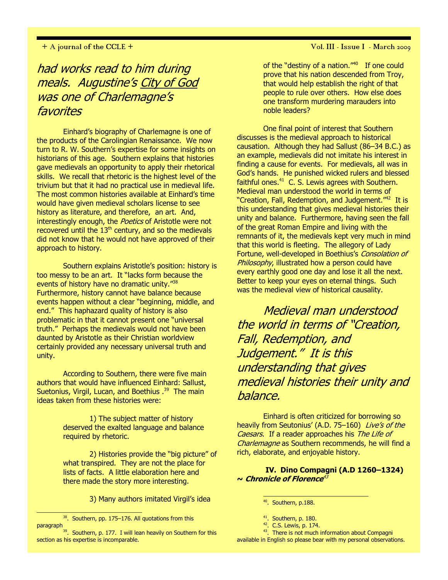## had works read to him during meals. Augustine's City of God was one of Charlemagne's **favorites**

Einhard's biography of Charlemagne is one of the products of the Carolingian Renaissance. We now turn to R. W. Southern's expertise for some insights on historians of this age. Southern explains that histories gave medievals an opportunity to apply their rhetorical skills. We recall that rhetoric is the highest level of the trivium but that it had no practical use in medieval life. The most common histories available at Einhard's time would have given medieval scholars license to see history as literature, and therefore, an art. And, interestingly enough, the Poetics of Aristotle were not recovered until the  $13<sup>th</sup>$  century, and so the medievals did not know that he would not have approved of their approach to history.

Southern explains Aristotle's position: history is too messy to be an art. It "lacks form because the events of history have no dramatic unity."<sup>38</sup> Furthermore, history cannot have balance because events happen without a clear "beginning, middle, and end." This haphazard quality of history is also problematic in that it cannot present one "universal truth." Perhaps the medievals would not have been daunted by Aristotle as their Christian worldview certainly provided any necessary universal truth and unity.

According to Southern, there were five main authors that would have influenced Einhard: Sallust, Suetonius, Virgil, Lucan, and Boethius  $39$  The main ideas taken from these histories were:

> 1) The subject matter of history deserved the exalted language and balance required by rhetoric.

2) Histories provide the "big picture" of what transpired. They are not the place for lists of facts. A little elaboration here and there made the story more interesting.

3) Many authors imitated Virgil's idea

### + A journal of the CCLE + Vol. III - Issue I - March 2009

of the "destiny of a nation."<sup>40</sup> If one could prove that his nation descended from Troy, that would help establish the right of that people to rule over others. How else does one transform murdering marauders into noble leaders?

One final point of interest that Southern discusses is the medieval approach to historical causation. Although they had Sallust (86–34 B.C.) as an example, medievals did not imitate his interest in finding a cause for events. For medievals, all was in God's hands. He punished wicked rulers and blessed faithful ones. $41$  C. S. Lewis agrees with Southern. Medieval man understood the world in terms of "Creation, Fall, Redemption, and Judgement."<sup>42</sup> It is this understanding that gives medieval histories their unity and balance. Furthermore, having seen the fall of the great Roman Empire and living with the remnants of it, the medievals kept very much in mind that this world is fleeting. The allegory of Lady Fortune, well-developed in Boethius's Consolation of Philosophy, illustrated how a person could have every earthly good one day and lose it all the next. Better to keep your eyes on eternal things. Such was the medieval view of historical causality.

Medieval man understood the world in terms of "Creation, Fall, Redemption, and Judgement." It is this understanding that gives medieval histories their unity and balance.

Einhard is often criticized for borrowing so heavily from Seutonius' (A.D. 75-160) Live's of the Caesars. If a reader approaches his The Life of Charlemagne as Southern recommends, he will find a rich, elaborate, and enjoyable history.

### IV. Dino Compagni (A.D 1260–1324)  $\sim$  Chronicle of Florence<sup>43</sup>

<sup>40</sup>. Southern, p.188.

<sup>43</sup>. There is not much information about Compagni available in English so please bear with my personal observations.

<sup>38.</sup> Southern, pp. 175-176. All quotations from this paragraph

<sup>&</sup>lt;sup>39</sup>. Southern, p. 177. I will lean heavily on Southern for this section as his expertise is incomparable.

<sup>41</sup>. Southern, p. 180.

<sup>42</sup>. C.S. Lewis, p. 174.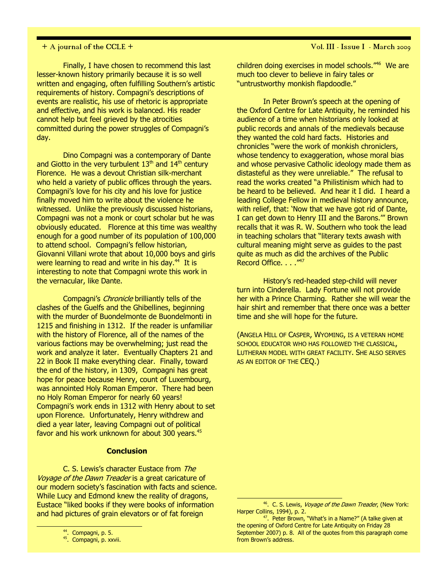day.

Finally, I have chosen to recommend this last lesser-known history primarily because it is so well written and engaging, often fulfilling Southern's artistic requirements of history. Compagni's descriptions of events are realistic, his use of rhetoric is appropriate and effective, and his work is balanced. His reader cannot help but feel grieved by the atrocities committed during the power struggles of Compagni's

Dino Compagni was a contemporary of Dante and Giotto in the very turbulent  $13<sup>th</sup>$  and  $14<sup>th</sup>$  century Florence. He was a devout Christian silk-merchant who held a variety of public offices through the years. Compagni's love for his city and his love for justice finally moved him to write about the violence he witnessed. Unlike the previously discussed historians, Compagni was not a monk or court scholar but he was obviously educated. Florence at this time was wealthy enough for a good number of its population of 100,000 to attend school. Compagni's fellow historian, Giovanni Villani wrote that about 10,000 boys and girls were learning to read and write in his day.<sup>44</sup> It is interesting to note that Compagni wrote this work in the vernacular, like Dante.

Compagni's *Chronicle* brilliantly tells of the clashes of the Guelfs and the Ghibellines, beginning with the murder of Buondelmonte de Buondelmonti in 1215 and finishing in 1312. If the reader is unfamiliar with the history of Florence, all of the names of the various factions may be overwhelming; just read the work and analyze it later. Eventually Chapters 21 and 22 in Book II make everything clear. Finally, toward the end of the history, in 1309, Compagni has great hope for peace because Henry, count of Luxembourg, was annointed Holy Roman Emperor. There had been no Holy Roman Emperor for nearly 60 years! Compagni's work ends in 1312 with Henry about to set upon Florence. Unfortunately, Henry withdrew and died a year later, leaving Compagni out of political favor and his work unknown for about 300 years.<sup>45</sup>

### **Conclusion**

C. S. Lewis's character Eustace from The Voyage of the Dawn Treader is a great caricature of our modern society's fascination with facts and science. While Lucy and Edmond knew the reality of dragons, Eustace "liked books if they were books of information and had pictures of grain elevators or of fat foreign

children doing exercises in model schools."<sup>46</sup> We are much too clever to believe in fairy tales or "untrustworthy monkish flapdoodle."

In Peter Brown's speech at the opening of the Oxford Centre for Late Antiquity, he reminded his audience of a time when historians only looked at public records and annals of the medievals because they wanted the cold hard facts. Histories and chronicles "were the work of monkish chroniclers, whose tendency to exaggeration, whose moral bias and whose pervasive Catholic ideology made them as distasteful as they were unreliable." The refusal to read the works created "a Philistinism which had to be heard to be believed. And hear it I did. I heard a leading College Fellow in medieval history announce, with relief, that: 'Now that we have got rid of Dante, I can get down to Henry III and the Barons.'" Brown recalls that it was R. W. Southern who took the lead in teaching scholars that "literary texts awash with cultural meaning might serve as guides to the past quite as much as did the archives of the Public Record Office. . . . "47

History's red-headed step-child will never turn into Cinderella. Lady Fortune will not provide her with a Prince Charming. Rather she will wear the hair shirt and remember that there once was a better time and she will hope for the future.

(ANGELA HILL OF CASPER, WYOMING, IS A VETERAN HOME SCHOOL EDUCATOR WHO HAS FOLLOWED THE CLASSICAL, LUTHERAN MODEL WITH GREAT FACILITY. SHE ALSO SERVES AS AN EDITOR OF THE CEQ.)

<sup>&</sup>lt;sup>44</sup>. Compagni, p. 5.

<sup>&</sup>lt;sup>45</sup>. Compagni, p. xxvii.

<sup>&</sup>lt;sup>46</sup>. C. S. Lewis, Voyage of the Dawn Treader, (New York: Harper Collins, 1994), p. 2.

<sup>&</sup>lt;sup>47</sup>. Peter Brown, "What's in a Name?" (A talke given at the opening of Oxford Centre for Late Antiquity on Friday 28 September 2007) p. 8. All of the quotes from this paragraph come from Brown's address.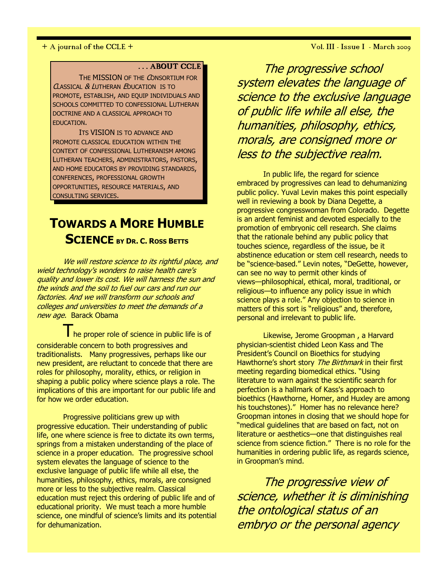### ... ABOUT CCLE

THE MISSION OF THE CONSORTIUM FOR **CLASSICAL & LUTHERAN EDUCATION IS TO** PROMOTE, ESTABLISH, AND EQUIP INDIVIDUALS AND SCHOOLS COMMITTED TO CONFESSIONAL LUTHERAN DOCTRINE AND A CLASSICAL APPROACH TO EDUCATION.

ITS VISION IS TO ADVANCE AND PROMOTE CLASSICAL EDUCATION WITHIN THE CONTEXT OF CONFESSIONAL LUTHERANISM AMONG LUTHERAN TEACHERS, ADMINISTRATORS, PASTORS, AND HOME EDUCATORS BY PROVIDING STANDARDS, CONFERENCES, PROFESSIONAL GROWTH OPPORTUNITIES, RESOURCE MATERIALS, AND CONSULTING SERVICES.

## TOWARDS A MORE HUMBLE **SCIENCE** BY DR. C. ROSS BETTS

We will restore science to its rightful place, and wield technology's wonders to raise health care's quality and lower its cost. We will harness the sun and the winds and the soil to fuel our cars and run our factories. And we will transform our schools and colleges and universities to meet the demands of a new age. Barack Obama

I he proper role of science in public life is of considerable concern to both progressives and traditionalists. Many progressives, perhaps like our new president, are reluctant to concede that there are roles for philosophy, morality, ethics, or religion in shaping a public policy where science plays a role. The implications of this are important for our public life and for how we order education.

Progressive politicians grew up with progressive education. Their understanding of public life, one where science is free to dictate its own terms, springs from a mistaken understanding of the place of science in a proper education. The progressive school system elevates the language of science to the exclusive language of public life while all else, the humanities, philosophy, ethics, morals, are consigned more or less to the subjective realm. Classical education must reject this ordering of public life and of educational priority. We must teach a more humble science, one mindful of science's limits and its potential for dehumanization.

The progressive school system elevates the language of science to the exclusive language of public life while all else, the humanities, philosophy, ethics, morals, are consigned more or less to the subjective realm.

In public life, the regard for science embraced by progressives can lead to dehumanizing public policy. Yuval Levin makes this point especially well in reviewing a book by Diana Degette, a progressive congresswoman from Colorado. Degette is an ardent feminist and devoted especially to the promotion of embryonic cell research. She claims that the rationale behind any public policy that touches science, regardless of the issue, be it abstinence education or stem cell research, needs to be "science-based." Levin notes, "DeGette, however, can see no way to permit other kinds of views—philosophical, ethical, moral, traditional, or religious—to influence any policy issue in which science plays a role." Any objection to science in matters of this sort is "religious" and, therefore, personal and irrelevant to public life.

Likewise, Jerome Groopman , a Harvard physician-scientist chided Leon Kass and The President's Council on Bioethics for studying Hawthorne's short story The Birthmark in their first meeting regarding biomedical ethics. "Using literature to warn against the scientific search for perfection is a hallmark of Kass's approach to bioethics (Hawthorne, Homer, and Huxley are among his touchstones)." Homer has no relevance here? Groopman intones in closing that we should hope for "medical guidelines that are based on fact, not on literature or aesthetics—one that distinguishes real science from science fiction." There is no role for the humanities in ordering public life, as regards science, in Groopman's mind.

The progressive view of science, whether it is diminishing the ontological status of an embryo or the personal agency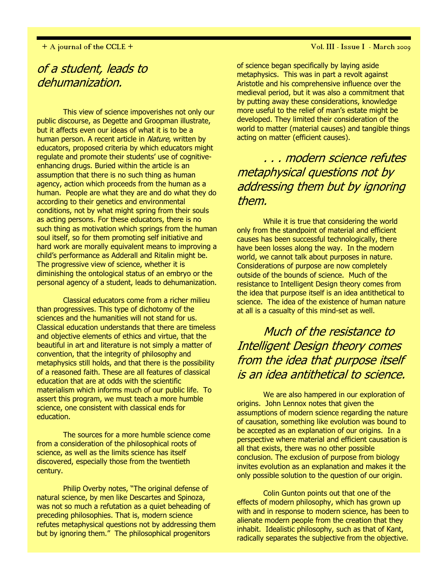## of a student, leads to dehumanization.

This view of science impoverishes not only our public discourse, as Degette and Groopman illustrate, but it affects even our ideas of what it is to be a human person. A recent article in *Nature*, written by educators, proposed criteria by which educators might regulate and promote their students' use of cognitiveenhancing drugs. Buried within the article is an assumption that there is no such thing as human agency, action which proceeds from the human as a human. People are what they are and do what they do according to their genetics and environmental conditions, not by what might spring from their souls as acting persons. For these educators, there is no such thing as motivation which springs from the human soul itself, so for them promoting self initiative and hard work are morally equivalent means to improving a child's performance as Adderall and Ritalin might be. The progressive view of science, whether it is diminishing the ontological status of an embryo or the personal agency of a student, leads to dehumanization.

Classical educators come from a richer milieu than progressives. This type of dichotomy of the sciences and the humanities will not stand for us. Classical education understands that there are timeless and objective elements of ethics and virtue, that the beautiful in art and literature is not simply a matter of convention, that the integrity of philosophy and metaphysics still holds, and that there is the possibility of a reasoned faith. These are all features of classical education that are at odds with the scientific materialism which informs much of our public life. To assert this program, we must teach a more humble science, one consistent with classical ends for education.

The sources for a more humble science come from a consideration of the philosophical roots of science, as well as the limits science has itself discovered, especially those from the twentieth century.

Philip Overby notes, "The original defense of natural science, by men like Descartes and Spinoza, was not so much a refutation as a quiet beheading of preceding philosophies. That is, modern science refutes metaphysical questions not by addressing them but by ignoring them." The philosophical progenitors

of science began specifically by laying aside metaphysics. This was in part a revolt against Aristotle and his comprehensive influence over the medieval period, but it was also a commitment that by putting away these considerations, knowledge more useful to the relief of man's estate might be developed. They limited their consideration of the world to matter (material causes) and tangible things acting on matter (efficient causes).

. . . modern science refutes metaphysical questions not by addressing them but by ignoring them.

While it is true that considering the world only from the standpoint of material and efficient causes has been successful technologically, there have been losses along the way. In the modern world, we cannot talk about purposes in nature. Considerations of purpose are now completely outside of the bounds of science. Much of the resistance to Intelligent Design theory comes from the idea that purpose itself is an idea antithetical to science. The idea of the existence of human nature at all is a casualty of this mind-set as well.

## Much of the resistance to Intelligent Design theory comes from the idea that purpose itself is an idea antithetical to science.

We are also hampered in our exploration of origins. John Lennox notes that given the assumptions of modern science regarding the nature of causation, something like evolution was bound to be accepted as an explanation of our origins. In a perspective where material and efficient causation is all that exists, there was no other possible conclusion. The exclusion of purpose from biology invites evolution as an explanation and makes it the only possible solution to the question of our origin.

Colin Gunton points out that one of the effects of modern philosophy, which has grown up with and in response to modern science, has been to alienate modern people from the creation that they inhabit. Idealistic philosophy, such as that of Kant, radically separates the subjective from the objective.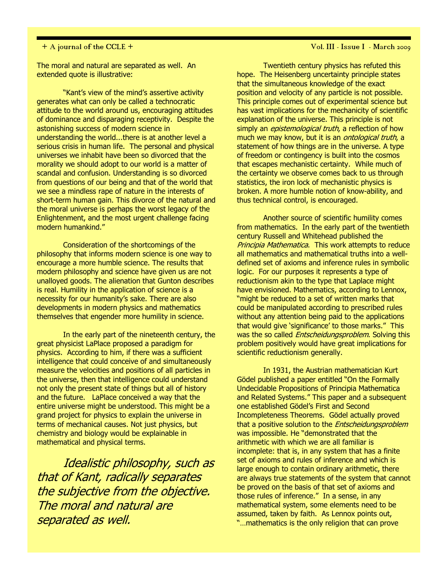The moral and natural are separated as well. An extended quote is illustrative:

"Kant's view of the mind's assertive activity generates what can only be called a technocratic attitude to the world around us, encouraging attitudes of dominance and disparaging receptivity. Despite the astonishing success of modern science in understanding the world...there is at another level a serious crisis in human life. The personal and physical universes we inhabit have been so divorced that the morality we should adopt to our world is a matter of scandal and confusion. Understanding is so divorced from questions of our being and that of the world that we see a mindless rape of nature in the interests of short-term human gain. This divorce of the natural and the moral universe is perhaps the worst legacy of the Enlightenment, and the most urgent challenge facing modern humankind."

Consideration of the shortcomings of the philosophy that informs modern science is one way to encourage a more humble science. The results that modern philosophy and science have given us are not unalloyed goods. The alienation that Gunton describes is real. Humility in the application of science is a necessity for our humanity's sake. There are also developments in modern physics and mathematics themselves that engender more humility in science.

In the early part of the nineteenth century, the great physicist LaPlace proposed a paradigm for physics. According to him, if there was a sufficient intelligence that could conceive of and simultaneously measure the velocities and positions of all particles in the universe, then that intelligence could understand not only the present state of things but all of history and the future. LaPlace conceived a way that the entire universe might be understood. This might be a grand project for physics to explain the universe in terms of mechanical causes. Not just physics, but chemistry and biology would be explainable in mathematical and physical terms.

Idealistic philosophy, such as that of Kant, radically separates the subjective from the objective. The moral and natural are separated as well.

Twentieth century physics has refuted this hope. The Heisenberg uncertainty principle states that the simultaneous knowledge of the exact position and velocity of any particle is not possible. This principle comes out of experimental science but has vast implications for the mechanicity of scientific explanation of the universe. This principle is not simply an *epistemological truth*, a reflection of how much we may know, but it is an *ontological truth*, a statement of how things are in the universe. A type of freedom or contingency is built into the cosmos that escapes mechanistic certainty. While much of the certainty we observe comes back to us through statistics, the iron lock of mechanistic physics is broken. A more humble notion of know-ability, and thus technical control, is encouraged.

Another source of scientific humility comes from mathematics. In the early part of the twentieth century Russell and Whitehead published the Principia Mathematica. This work attempts to reduce all mathematics and mathematical truths into a welldefined set of axioms and inference rules in symbolic logic. For our purposes it represents a type of reductionism akin to the type that Laplace might have envisioned. Mathematics, according to Lennox, "might be reduced to a set of written marks that could be manipulated according to prescribed rules without any attention being paid to the applications that would give 'significance' to those marks." This was the so called *Entscheidungsproblem*. Solving this problem positively would have great implications for scientific reductionism generally.

In 1931, the Austrian mathematician Kurt Gödel published a paper entitled "On the Formally Undecidable Propositions of Principia Mathematica and Related Systems." This paper and a subsequent one established Gödel's First and Second Incompleteness Theorems. Gödel actually proved that a positive solution to the *Entscheidungsproblem* was impossible. He "demonstrated that the arithmetic with which we are all familiar is incomplete: that is, in any system that has a finite set of axioms and rules of inference and which is large enough to contain ordinary arithmetic, there are always true statements of the system that cannot be proved on the basis of that set of axioms and those rules of inference." In a sense, in any mathematical system, some elements need to be assumed, taken by faith. As Lennox points out, "…mathematics is the only religion that can prove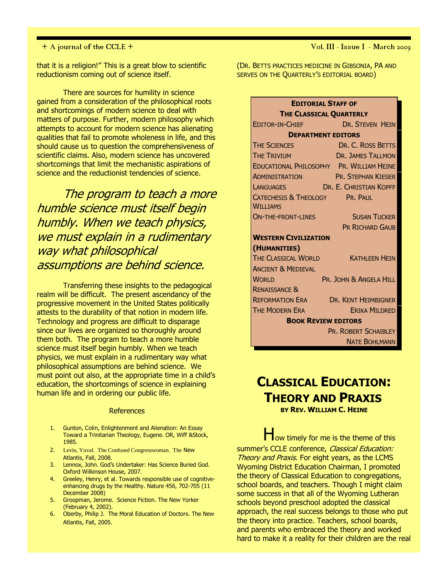that it is a religion!" This is a great blow to scientific reductionism coming out of science itself.

There are sources for humility in science gained from a consideration of the philosophical roots and shortcomings of modern science to deal with matters of purpose. Further, modern philosophy which attempts to account for modern science has alienating qualities that fail to promote wholeness in life, and this should cause us to question the comprehensiveness of scientific claims. Also, modern science has uncovered shortcomings that limit the mechanistic aspirations of science and the reductionist tendencies of science.

The program to teach a more humble science must itself begin humbly. When we teach physics, we must explain in a rudimentary way what philosophical assumptions are behind science.

Transferring these insights to the pedagogical realm will be difficult. The present ascendancy of the progressive movement in the United States politically attests to the durability of that notion in modern life. Technology and progress are difficult to disparage since our lives are organized so thoroughly around them both. The program to teach a more humble science must itself begin humbly. When we teach physics, we must explain in a rudimentary way what philosophical assumptions are behind science. We must point out also, at the appropriate time in a child's education, the shortcomings of science in explaining human life and in ordering our public life.

### **References**

- 1. Gunton, Colin, Enlightenment and Alienation: An Essay Toward a Trinitarian Theology, Eugene. OR, Wiff &Stock, 1985.
- 2. Levin, Yuval. The Confused Congresswoman. The New Atlantis, Fall, 2008.
- 3. Lennox, John. God's Undertaker: Has Science Buried God. Oxford Wilkinson House, 2007.
- 4. Greeley, Henry, et al. Towards responsible use of cognitiveenhancing drugs by the Healthy. Nature 456, 702-705 (11 December 2008)
- 5. Groopman, Jerome. Science Fiction. The New Yorker (February 4, 2002).
- 6. Oberby, Philip J. The Moral Education of Doctors. The New Atlantis, Fall, 2005.

(DR. BETTS PRACTICES MEDICINE IN GIBSONIA, PA AND SERVES ON THE QUARTERLY'S EDITORIAL BOARD)

### EDITORIAL STAFF OF THE CLASSICAL QUARTERLY EDITOR-IN-CHIEF DR. STEVEN HEIN DEPARTMENT EDITORS THE SCIENCES **DR. C. ROSS BETTS** THE TRIVIUM DR. JAMES TALLMON EDUCATIONAL PHILOSOPHY PR. WILLIAM HEINE ADMINISTRATION PR. STEPHAN KIESER LANGUAGES DR. E. CHRISTIAN KOPFF CATECHESIS & THEOLOGY PR. PAUL WILLIAMS **ON-THE-FRONT-LINES** SUSAN TUCKER PR RICHARD GAUB WESTERN CIVILIZATION (HUMANITIES) THE CLASSICAL WORLD **KATHLEEN HEIN** ANCIENT & MEDIEVAL WORLD **PR. JOHN & ANGELA HILL** RENAISSANCE & REFORMATION ERA DR. KENT HEIMBIGNER The Modern Era **ERIKA MILDRED** BOOK REVIEW EDITORS PR. ROBERT SCHAIBLEY NATE BOHLMANN

## CLASSICAL EDUCATION: THEORY AND PRAXIS BY REV. WILLIAM C. HEINE

 $\blacksquare$  ow timely for me is the theme of this summer's CCLE conference, Classical Education: Theory and Praxis. For eight years, as the LCMS Wyoming District Education Chairman, I promoted the theory of Classical Education to congregations, school boards, and teachers. Though I might claim some success in that all of the Wyoming Lutheran schools beyond preschool adopted the classical approach, the real success belongs to those who put the theory into practice. Teachers, school boards, and parents who embraced the theory and worked hard to make it a reality for their children are the real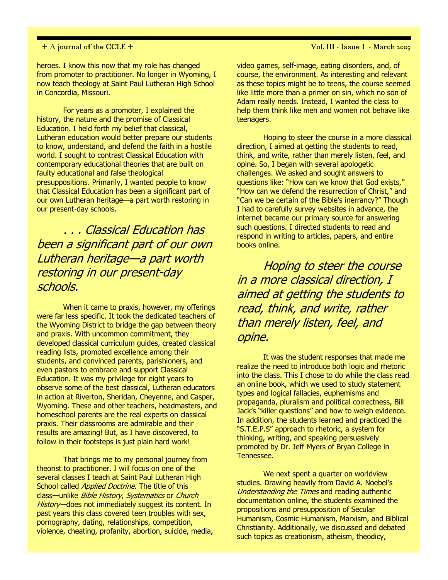heroes. I know this now that my role has changed from promoter to practitioner. No longer in Wyoming, I now teach theology at Saint Paul Lutheran High School in Concordia, Missouri.

For years as a promoter, I explained the history, the nature and the promise of Classical Education. I held forth my belief that classical, Lutheran education would better prepare our students to know, understand, and defend the faith in a hostile world. I sought to contrast Classical Education with contemporary educational theories that are built on faulty educational and false theological presuppositions. Primarily, I wanted people to know that Classical Education has been a significant part of our own Lutheran heritage—a part worth restoring in our present-day schools.

. . . Classical Education has been a significant part of our own Lutheran heritage—a part worth restoring in our present-day schools.

When it came to praxis, however, my offerings were far less specific. It took the dedicated teachers of the Wyoming District to bridge the gap between theory and praxis. With uncommon commitment, they developed classical curriculum guides, created classical reading lists, promoted excellence among their students, and convinced parents, parishioners, and even pastors to embrace and support Classical Education. It was my privilege for eight years to observe some of the best classical, Lutheran educators in action at Riverton, Sheridan, Cheyenne, and Casper, Wyoming. These and other teachers, headmasters, and homeschool parents are the real experts on classical praxis. Their classrooms are admirable and their results are amazing! But, as I have discovered, to follow in their footsteps is just plain hard work!

That brings me to my personal journey from theorist to practitioner. I will focus on one of the several classes I teach at Saint Paul Lutheran High School called *Applied Doctrine*. The title of this class-unlike Bible History, Systematics or Church History-does not immediately suggest its content. In past years this class covered teen troubles with sex, pornography, dating, relationships, competition, violence, cheating, profanity, abortion, suicide, media,

video games, self-image, eating disorders, and, of course, the environment. As interesting and relevant as these topics might be to teens, the course seemed like little more than a primer on sin, which no son of Adam really needs. Instead, I wanted the class to help them think like men and women not behave like teenagers.

Hoping to steer the course in a more classical direction, I aimed at getting the students to read, think, and write, rather than merely listen, feel, and opine. So, I began with several apologetic challenges. We asked and sought answers to questions like: "How can we know that God exists," "How can we defend the resurrection of Christ," and "Can we be certain of the Bible's inerrancy?" Though I had to carefully survey websites in advance, the internet became our primary source for answering such questions. I directed students to read and respond in writing to articles, papers, and entire books online.

Hoping to steer the course in a more classical direction, I aimed at getting the students to read, think, and write, rather than merely listen, feel, and opine.

It was the student responses that made me realize the need to introduce both logic and rhetoric into the class. This I chose to do while the class read an online book, which we used to study statement types and logical fallacies, euphemisms and propaganda, pluralism and political correctness, Bill Jack's "killer questions" and how to weigh evidence. In addition, the students learned and practiced the "S.T.E.P.S" approach to rhetoric, a system for thinking, writing, and speaking persuasively promoted by Dr. Jeff Myers of Bryan College in Tennessee.

We next spent a quarter on worldview studies. Drawing heavily from David A. Noebel's Understanding the Times and reading authentic documentation online, the students examined the propositions and presupposition of Secular Humanism, Cosmic Humanism, Marxism, and Biblical Christianity. Additionally, we discussed and debated such topics as creationism, atheism, theodicy,